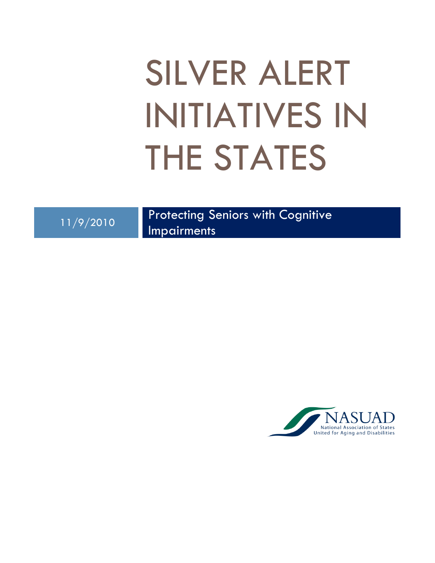# SILVER ALERT INITIATIVES IN THE STATES

11/9/2010 Protecting Seniors with Cognitive

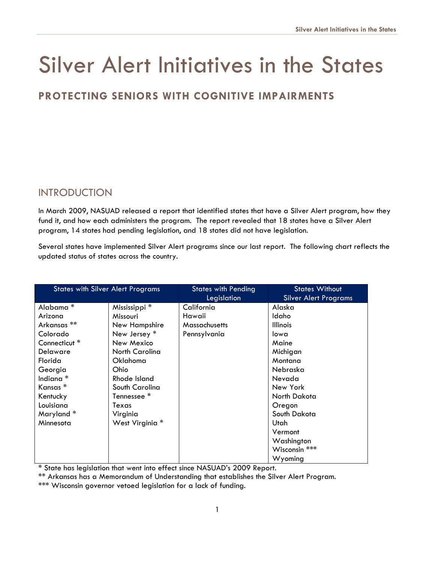# Silver Alert Initiatives in the States

# **PROTECTING SENIORS WITH COGNITIVE IMPAIRMENTS**

# **INTRODUCTION**

In March 2009, NASUAD released a report that identified states that have a Silver Alert program, how they fund it, and how each administers the program. The report revealed that 18 states have a Silver Alert program, 14 states had pending legislation, and 18 states did not have legislation.

Several states have implemented Silver Alert programs since our last report. The following chart reflects the updated status of states across the country.

| <b>States with Silver Alert Programs</b> |                        | <b>States with Pending</b><br>Legislation | <b>States Without</b><br><b>Silver Alert Programs</b> |
|------------------------------------------|------------------------|-------------------------------------------|-------------------------------------------------------|
| Alabama <sup>*</sup>                     | Mississippi *          | California                                | Alaska                                                |
| Arizona                                  | Missouri               | Hawaii                                    | Idaho                                                 |
| Arkansas **                              | New Hampshire          | <b>Massachusetts</b>                      | <b>Illinois</b>                                       |
| Colorado                                 | New Jersey *           | Pennsylvania                              | lowa                                                  |
| Connecticut <sup>*</sup>                 | New Mexico             |                                           | Maine                                                 |
| Delaware                                 | North Carolina         |                                           | Michigan                                              |
| Florida                                  | Oklahoma               |                                           | Montana                                               |
| Georgia                                  | Ohio                   |                                           | Nebraska                                              |
| Indiana <sup>*</sup>                     | Rhode Island           |                                           | Nevada                                                |
| Kansas *                                 | South Carolina         |                                           | New York                                              |
| Kentucky                                 | Tennessee <sup>*</sup> |                                           | North Dakota                                          |
| Louisiana                                | Texas                  |                                           | Oregon                                                |
| Maryland*                                | Virginia               |                                           | South Dakota                                          |
| Minnesota                                | West Virginia *        |                                           | Utah                                                  |
|                                          |                        |                                           | Vermont                                               |
|                                          |                        |                                           | Washington                                            |
|                                          |                        |                                           | Wisconsin ***                                         |
|                                          |                        |                                           | Wyoming                                               |

\* State has legislation that went into effect since NASUAD's 2009 Report.

\*\* Arkansas has a Memorandum of Understanding that establishes the Silver Alert Program.

\*\*\* Wisconsin governor vetoed legislation for a lack of funding.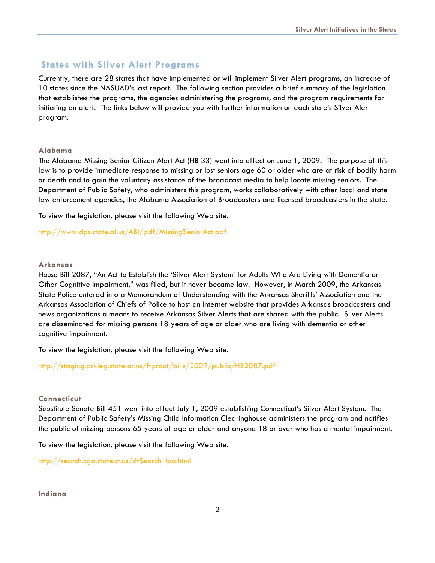### **States with Silver Alert Programs**

Currently, there are 28 states that have implemented or will implement Silver Alert programs, an increase of 10 states since the NASUAD's last report. The following section provides a brief summary of the legislation that establishes the programs, the agencies administering the programs, and the program requirements for initiating an alert. The links below will provide you with further information on each state's Silver Alert program.

#### **Alabama**

The Alabama Missing Senior Citizen Alert Act (HB 33) went into effect on June 1, 2009. The purpose of this law is to provide immediate response to missing or lost seniors age 60 or older who are at risk of bodily harm or death and to gain the voluntary assistance of the broadcast media to help locate missing seniors. The Department of Public Safety, who administers this program, works collaboratively with other local and state law enforcement agencies, the Alabama Association of Broadcasters and licensed broadcasters in the state.

To view the legislation, please visit the following Web site.

<http://www.dps.state.al.us/ABI/pdf/MissingSeniorAct.pdf>

#### **Arkansas**

House Bill 2087, "An Act to Establish the 'Silver Alert System' for Adults Who Are Living with Dementia or Other Cognitive Impairment," was filed, but it never became law. However, in March 2009, the Arkansas State Police entered into a Memorandum of Understanding with the Arkansas Sheriffs' Association and the Arkansas Association of Chiefs of Police to host an Internet website that provides Arkansas broadcasters and news organizations a means to receive Arkansas Silver Alerts that are shared with the public. Silver Alerts are disseminated for missing persons 18 years of age or older who are living with dementia or other cognitive impairment.

To view the legislation, please visit the following Web site.

<http://staging.arkleg.state.ar.us/ftproot/bills/2009/public/HB2087.pdf>

#### **Connecticut**

Substitute Senate Bill 451 went into effect July 1, 2009 establishing Connecticut's Silver Alert System. The Department of Public Safety's Missing Child Information Clearinghouse administers the program and notifies the public of missing persons 65 years of age or older and anyone 18 or over who has a mental impairment.

To view the legislation, please visit the following Web site.

[http://search.cga.state.ct.us/dtSearch\\_lpa.html](http://search.cga.state.ct.us/dtSearch_lpa.html) 

#### **Indiana**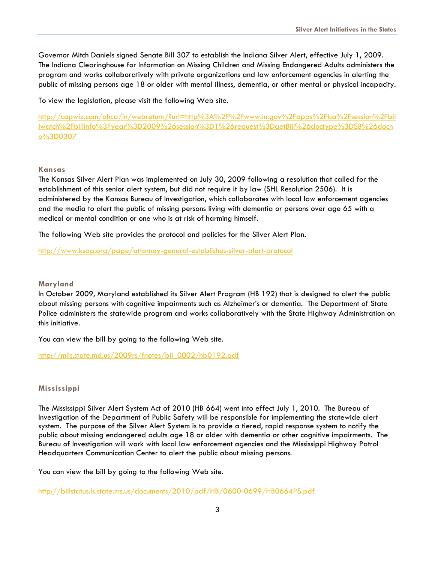Governor Mitch Daniels signed Senate Bill 307 to establish the Indiana Silver Alert, effective July 1, 2009. The Indiana Clearinghouse for Information on Missing Children and Missing Endangered Adults administers the program and works collaboratively with private organizations and law enforcement agencies in alerting the public of missing persons age 18 or older with mental illness, dementia, or other mental or physical incapacity.

To view the legislation, please visit the following Web site.

[http://capwiz.com/ahca/in/webreturn/?url=http%3A%2F%2Fwww.in.gov%2Fapps%2Flsa%2Fsession%2Fbil](http://capwiz.com/ahca/in/webreturn/?url=http%3A%2F%2Fwww.in.gov%2Fapps%2Flsa%2Fsession%2Fbillwatch%2Fbillinfo%3Fyear%3D2009%26session%3D1%26request%3DgetBill%26doctype%3DSB%26docno%3D0307) [lwatch%2Fbillinfo%3Fyear%3D2009%26session%3D1%26request%3DgetBill%26doctype%3DSB%26docn](http://capwiz.com/ahca/in/webreturn/?url=http%3A%2F%2Fwww.in.gov%2Fapps%2Flsa%2Fsession%2Fbillwatch%2Fbillinfo%3Fyear%3D2009%26session%3D1%26request%3DgetBill%26doctype%3DSB%26docno%3D0307) [o%3D0307](http://capwiz.com/ahca/in/webreturn/?url=http%3A%2F%2Fwww.in.gov%2Fapps%2Flsa%2Fsession%2Fbillwatch%2Fbillinfo%3Fyear%3D2009%26session%3D1%26request%3DgetBill%26doctype%3DSB%26docno%3D0307)

#### **Kansas**

The Kansas Silver Alert Plan was implemented on July 30, 2009 following a resolution that called for the establishment of this senior alert system, but did not require it by law (SHL Resolution 2506). It is administered by the Kansas Bureau of Investigation, which collaborates with local law enforcement agencies and the media to alert the public of missing persons living with dementia or persons over age 65 with a medical or mental condition or one who is at risk of harming himself.

The following Web site provides the protocol and policies for the Silver Alert Plan.

<http://www.ksag.org/page/attorney-general-establishes-silver-alert-protocol>

#### **Maryland**

In October 2009, Maryland established its Silver Alert Program (HB 192) that is designed to alert the public about missing persons with cognitive impairments such as Alzheimer's or dementia. The Department of State Police administers the statewide program and works collaboratively with the State Highway Administration on this initiative.

You can view the bill by going to the following Web site.

[http://mlis.state.md.us/2009rs/fnotes/bil\\_0002/hb0192.pdf](http://mlis.state.md.us/2009rs/fnotes/bil_0002/hb0192.pdf) 

#### **Mississippi**

The Mississippi Silver Alert System Act of 2010 (HB 664) went into effect July 1, 2010. The Bureau of Investigation of the Department of Public Safety will be responsible for implementing the statewide alert system. The purpose of the Silver Alert System is to provide a tiered, rapid response system to notify the public about missing endangered adults age 18 or older with dementia or other cognitive impairments. The Bureau of Investigation will work with local law enforcement agencies and the Mississippi Highway Patrol Headquarters Communication Center to alert the public about missing persons.

You can view the bill by going to the following Web site.

<http://billstatus.ls.state.ms.us/documents/2010/pdf/HB/0600-0699/HB0664PS.pdf>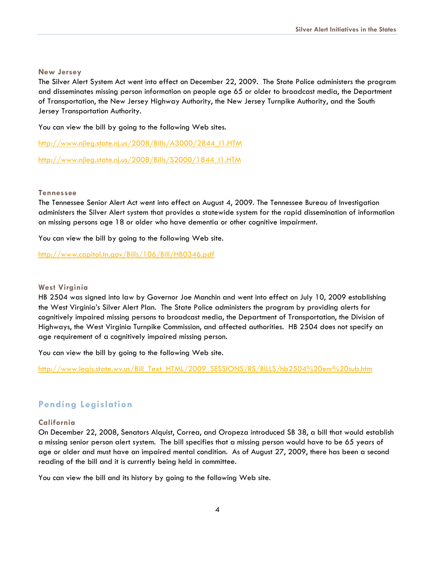#### **New Jersey**

The Silver Alert System Act went into effect on December 22, 2009. The State Police administers the program and disseminates missing person information on people age 65 or older to broadcast media, the Department of Transportation, the New Jersey Highway Authority, the New Jersey Turnpike Authority, and the South Jersey Transportation Authority.

You can view the bill by going to the following Web sites.

http://www.njleg.state.nj.us/2008/Bills/A3000/2844\_I1.HTM

[http://www.njleg.state.nj.us/2008/Bills/S2000/1844\\_I1.HTM](http://www.njleg.state.nj.us/2008/Bills/S2000/1844_I1.HTM)

#### **Tennessee**

The Tennessee Senior Alert Act went into effect on August 4, 2009. The Tennessee Bureau of Investigation administers the Silver Alert system that provides a statewide system for the rapid dissemination of information on missing persons age 18 or older who have dementia or other cognitive impairment.

You can view the bill by going to the following Web site.

<http://www.capitol.tn.gov/Bills/106/Bill/HB0346.pdf>

#### **West Virginia**

HB 2504 was signed into law by Governor Joe Manchin and went into effect on July 10, 2009 establishing the West Virginia's Silver Alert Plan. The State Police administers the program by providing alerts for cognitively impaired missing persons to broadcast media, the Department of Transportation, the Division of Highways, the West Virginia Turnpike Commission, and affected authorities. HB 2504 does not specify an age requirement of a cognitively impaired missing person.

You can view the bill by going to the following Web site.

[http://www.legis.state.wv.us/Bill\\_Text\\_HTML/2009\\_SESSIONS/RS/BILLS/hb2504%20enr%20sub.htm](http://www.legis.state.wv.us/Bill_Text_HTML/2009_SESSIONS/RS/BILLS/hb2504%20enr%20sub.htm)

# **Pending Legislation**

#### **California**

On December 22, 2008, Senators Alquist, Correa, and Oropeza introduced SB 38, a bill that would establish a missing senior person alert system. The bill specifies that a missing person would have to be 65 years of age or older and must have an impaired mental condition. As of August 27, 2009, there has been a second reading of the bill and it is currently being held in committee.

You can view the bill and its history by going to the following Web site.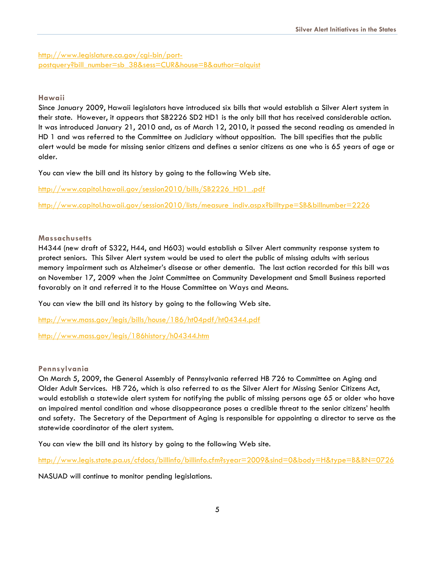[http://www.legislature.ca.gov/cgi-bin/port](http://www.legislature.ca.gov/cgi-bin/port-postquery?bill_number=sb_38&sess=CUR&house=B&author=alquist)[postquery?bill\\_number=sb\\_38&sess=CUR&house=B&author=alquist](http://www.legislature.ca.gov/cgi-bin/port-postquery?bill_number=sb_38&sess=CUR&house=B&author=alquist)

#### **Hawaii**

Since January 2009, Hawaii legislators have introduced six bills that would establish a Silver Alert system in their state. However, it appears that SB2226 SD2 HD1 is the only bill that has received considerable action. It was introduced January 21, 2010 and, as of March 12, 2010, it passed the second reading as amended in HD 1 and was referred to the Committee on Judiciary without opposition. The bill specifies that the public alert would be made for missing senior citizens and defines a senior citizens as one who is 65 years of age or older.

You can view the bill and its history by going to the following Web site.

[http://www.capitol.hawaii.gov/session2010/bills/SB2226\\_HD1\\_.pdf](http://www.capitol.hawaii.gov/session2010/bills/SB2226_HD1_.pdf)

[http://www.capitol.hawaii.gov/session2010/lists/measure\\_indiv.aspx?billtype=SB&billnumber=2226](http://www.capitol.hawaii.gov/session2010/lists/measure_indiv.aspx?billtype=SB&billnumber=2226) 

#### **Massachusetts**

H4344 (new draft of S322, H44, and H603) would establish a Silver Alert community response system to protect seniors. This Silver Alert system would be used to alert the public of missing adults with serious memory impairment such as Alzheimer's disease or other dementia. The last action recorded for this bill was on November 17, 2009 when the Joint Committee on Community Development and Small Business reported favorably on it and referred it to the House Committee on Ways and Means.

You can view the bill and its history by going to the following Web site.

<http://www.mass.gov/legis/bills/house/186/ht04pdf/ht04344.pdf>

<http://www.mass.gov/legis/186history/h04344.htm>

#### **Pennsylvania**

On March 5, 2009, the General Assembly of Pennsylvania referred HB 726 to Committee on Aging and Older Adult Services. HB 726, which is also referred to as the Silver Alert for Missing Senior Citizens Act, would establish a statewide alert system for notifying the public of missing persons age 65 or older who have an impaired mental condition and whose disappearance poses a credible threat to the senior citizens' health and safety. The Secretary of the Department of Aging is responsible for appointing a director to serve as the statewide coordinator of the alert system.

You can view the bill and its history by going to the following Web site.

<http://www.legis.state.pa.us/cfdocs/billinfo/billinfo.cfm?syear=2009&sind=0&body=H&type=B&BN=0726>

NASUAD will continue to monitor pending legislations.